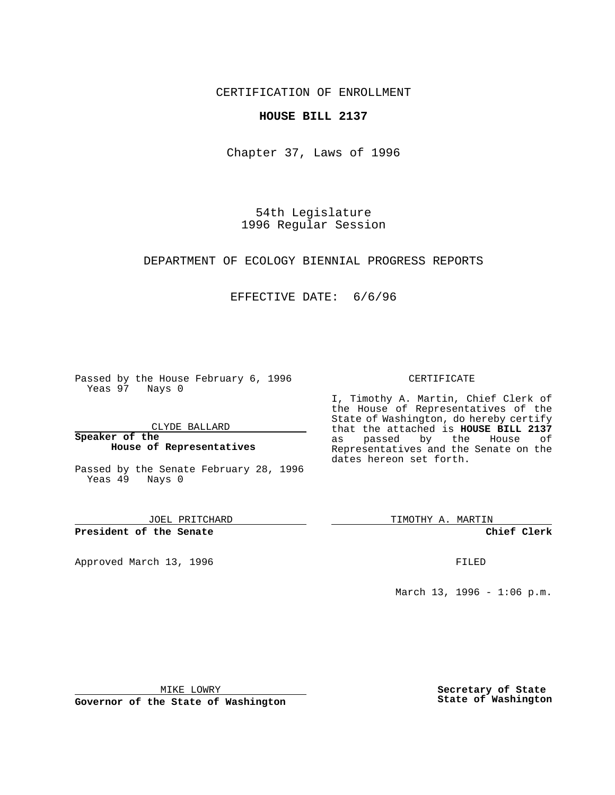CERTIFICATION OF ENROLLMENT

### **HOUSE BILL 2137**

Chapter 37, Laws of 1996

54th Legislature 1996 Regular Session

DEPARTMENT OF ECOLOGY BIENNIAL PROGRESS REPORTS

## EFFECTIVE DATE: 6/6/96

Passed by the House February 6, 1996 Yeas 97 Nays 0

CLYDE BALLARD

**Speaker of the House of Representatives**

Passed by the Senate February 28, 1996 Yeas 49 Nays 0

JOEL PRITCHARD

**President of the Senate**

Approved March 13, 1996 **FILED** 

#### CERTIFICATE

I, Timothy A. Martin, Chief Clerk of the House of Representatives of the State of Washington, do hereby certify that the attached is **HOUSE BILL 2137** as passed by the House of Representatives and the Senate on the dates hereon set forth.

TIMOTHY A. MARTIN

**Chief Clerk**

March 13, 1996 - 1:06 p.m.

MIKE LOWRY

**Governor of the State of Washington**

**Secretary of State State of Washington**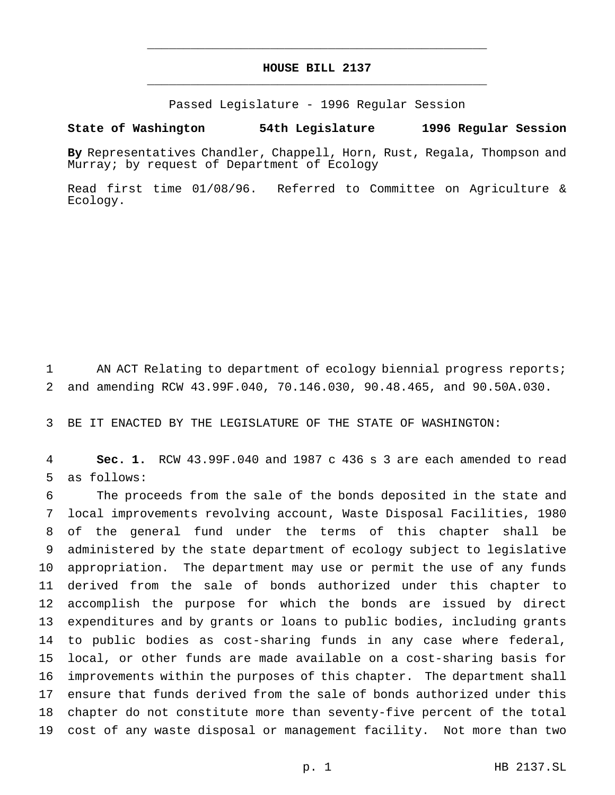# **HOUSE BILL 2137** \_\_\_\_\_\_\_\_\_\_\_\_\_\_\_\_\_\_\_\_\_\_\_\_\_\_\_\_\_\_\_\_\_\_\_\_\_\_\_\_\_\_\_\_\_\_\_

\_\_\_\_\_\_\_\_\_\_\_\_\_\_\_\_\_\_\_\_\_\_\_\_\_\_\_\_\_\_\_\_\_\_\_\_\_\_\_\_\_\_\_\_\_\_\_

Passed Legislature - 1996 Regular Session

#### **State of Washington 54th Legislature 1996 Regular Session**

**By** Representatives Chandler, Chappell, Horn, Rust, Regala, Thompson and Murray; by request of Department of Ecology

Read first time 01/08/96. Referred to Committee on Agriculture & Ecology.

 AN ACT Relating to department of ecology biennial progress reports; and amending RCW 43.99F.040, 70.146.030, 90.48.465, and 90.50A.030.

BE IT ENACTED BY THE LEGISLATURE OF THE STATE OF WASHINGTON:

 **Sec. 1.** RCW 43.99F.040 and 1987 c 436 s 3 are each amended to read as follows:

 The proceeds from the sale of the bonds deposited in the state and local improvements revolving account, Waste Disposal Facilities, 1980 of the general fund under the terms of this chapter shall be administered by the state department of ecology subject to legislative appropriation. The department may use or permit the use of any funds derived from the sale of bonds authorized under this chapter to accomplish the purpose for which the bonds are issued by direct expenditures and by grants or loans to public bodies, including grants to public bodies as cost-sharing funds in any case where federal, local, or other funds are made available on a cost-sharing basis for improvements within the purposes of this chapter. The department shall ensure that funds derived from the sale of bonds authorized under this chapter do not constitute more than seventy-five percent of the total cost of any waste disposal or management facility. Not more than two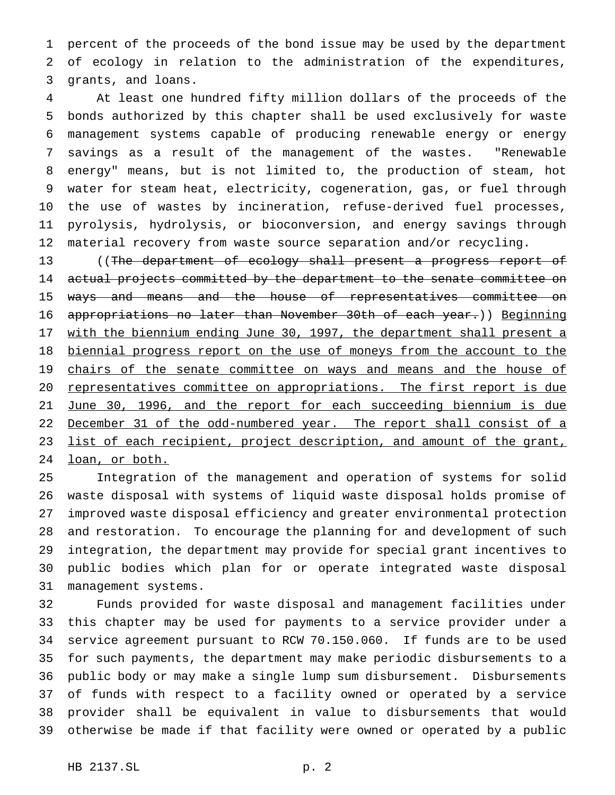percent of the proceeds of the bond issue may be used by the department of ecology in relation to the administration of the expenditures, grants, and loans.

 At least one hundred fifty million dollars of the proceeds of the bonds authorized by this chapter shall be used exclusively for waste management systems capable of producing renewable energy or energy savings as a result of the management of the wastes. "Renewable energy" means, but is not limited to, the production of steam, hot water for steam heat, electricity, cogeneration, gas, or fuel through the use of wastes by incineration, refuse-derived fuel processes, pyrolysis, hydrolysis, or bioconversion, and energy savings through material recovery from waste source separation and/or recycling.

 ((The department of ecology shall present a progress report of 14 actual projects committed by the department to the senate committee on 15 ways and means and the house of representatives committee on appropriations no later than November 30th of each year.)) Beginning 17 with the biennium ending June 30, 1997, the department shall present a biennial progress report on the use of moneys from the account to the 19 chairs of the senate committee on ways and means and the house of 20 representatives committee on appropriations. The first report is due June 30, 1996, and the report for each succeeding biennium is due 22 December 31 of the odd-numbered year. The report shall consist of a 23 list of each recipient, project description, and amount of the grant, loan, or both.

 Integration of the management and operation of systems for solid waste disposal with systems of liquid waste disposal holds promise of improved waste disposal efficiency and greater environmental protection and restoration. To encourage the planning for and development of such integration, the department may provide for special grant incentives to public bodies which plan for or operate integrated waste disposal management systems.

 Funds provided for waste disposal and management facilities under this chapter may be used for payments to a service provider under a service agreement pursuant to RCW 70.150.060. If funds are to be used for such payments, the department may make periodic disbursements to a public body or may make a single lump sum disbursement. Disbursements of funds with respect to a facility owned or operated by a service provider shall be equivalent in value to disbursements that would otherwise be made if that facility were owned or operated by a public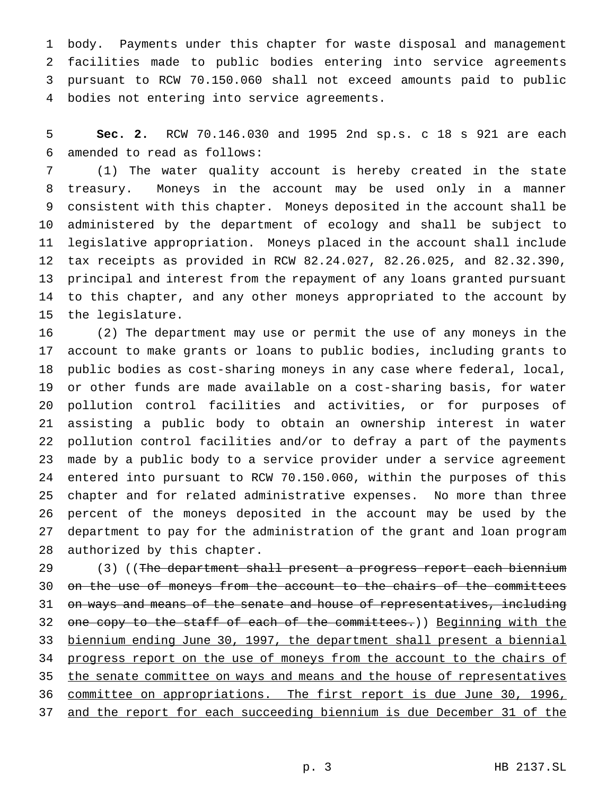body. Payments under this chapter for waste disposal and management facilities made to public bodies entering into service agreements pursuant to RCW 70.150.060 shall not exceed amounts paid to public bodies not entering into service agreements.

 **Sec. 2.** RCW 70.146.030 and 1995 2nd sp.s. c 18 s 921 are each amended to read as follows:

 (1) The water quality account is hereby created in the state treasury. Moneys in the account may be used only in a manner consistent with this chapter. Moneys deposited in the account shall be administered by the department of ecology and shall be subject to legislative appropriation. Moneys placed in the account shall include tax receipts as provided in RCW 82.24.027, 82.26.025, and 82.32.390, principal and interest from the repayment of any loans granted pursuant to this chapter, and any other moneys appropriated to the account by the legislature.

 (2) The department may use or permit the use of any moneys in the account to make grants or loans to public bodies, including grants to public bodies as cost-sharing moneys in any case where federal, local, or other funds are made available on a cost-sharing basis, for water pollution control facilities and activities, or for purposes of assisting a public body to obtain an ownership interest in water pollution control facilities and/or to defray a part of the payments made by a public body to a service provider under a service agreement entered into pursuant to RCW 70.150.060, within the purposes of this chapter and for related administrative expenses. No more than three percent of the moneys deposited in the account may be used by the department to pay for the administration of the grant and loan program authorized by this chapter.

29 (3) ((The department shall present a progress report each biennium 30 on the use of moneys from the account to the chairs of the committees 31 on ways and means of the senate and house of representatives, including 32 one copy to the staff of each of the committees.)) Beginning with the biennium ending June 30, 1997, the department shall present a biennial progress report on the use of moneys from the account to the chairs of 35 the senate committee on ways and means and the house of representatives committee on appropriations. The first report is due June 30, 1996, and the report for each succeeding biennium is due December 31 of the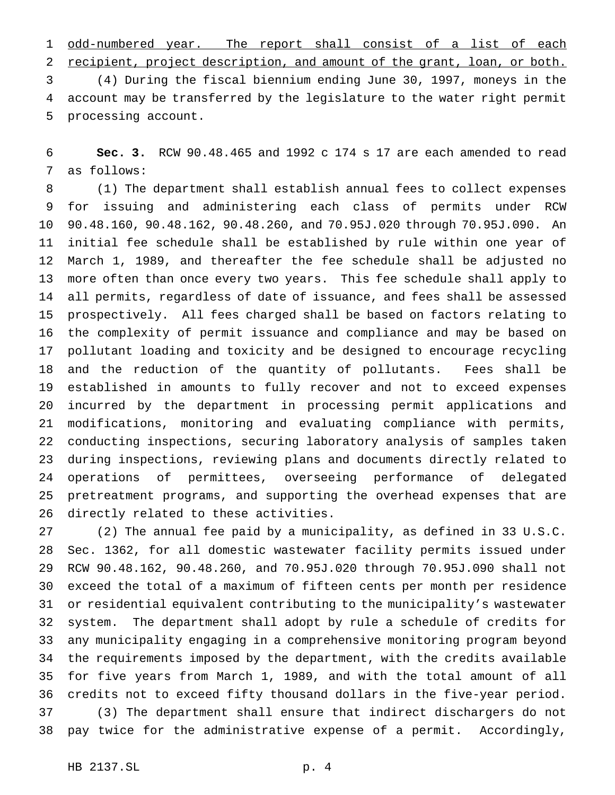1 odd-numbered year. The report shall consist of a list of each recipient, project description, and amount of the grant, loan, or both.

 (4) During the fiscal biennium ending June 30, 1997, moneys in the account may be transferred by the legislature to the water right permit processing account.

 **Sec. 3.** RCW 90.48.465 and 1992 c 174 s 17 are each amended to read as follows:

 (1) The department shall establish annual fees to collect expenses for issuing and administering each class of permits under RCW 90.48.160, 90.48.162, 90.48.260, and 70.95J.020 through 70.95J.090. An initial fee schedule shall be established by rule within one year of March 1, 1989, and thereafter the fee schedule shall be adjusted no more often than once every two years. This fee schedule shall apply to all permits, regardless of date of issuance, and fees shall be assessed prospectively. All fees charged shall be based on factors relating to the complexity of permit issuance and compliance and may be based on pollutant loading and toxicity and be designed to encourage recycling and the reduction of the quantity of pollutants. Fees shall be established in amounts to fully recover and not to exceed expenses incurred by the department in processing permit applications and modifications, monitoring and evaluating compliance with permits, conducting inspections, securing laboratory analysis of samples taken during inspections, reviewing plans and documents directly related to operations of permittees, overseeing performance of delegated pretreatment programs, and supporting the overhead expenses that are directly related to these activities.

 (2) The annual fee paid by a municipality, as defined in 33 U.S.C. Sec. 1362, for all domestic wastewater facility permits issued under RCW 90.48.162, 90.48.260, and 70.95J.020 through 70.95J.090 shall not exceed the total of a maximum of fifteen cents per month per residence or residential equivalent contributing to the municipality's wastewater system. The department shall adopt by rule a schedule of credits for any municipality engaging in a comprehensive monitoring program beyond the requirements imposed by the department, with the credits available for five years from March 1, 1989, and with the total amount of all credits not to exceed fifty thousand dollars in the five-year period. (3) The department shall ensure that indirect dischargers do not pay twice for the administrative expense of a permit. Accordingly,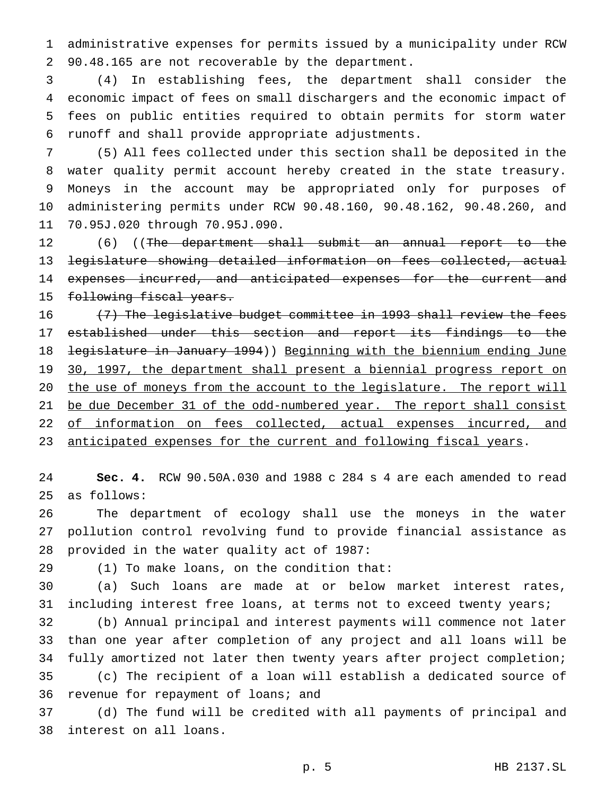administrative expenses for permits issued by a municipality under RCW 90.48.165 are not recoverable by the department.

 (4) In establishing fees, the department shall consider the economic impact of fees on small dischargers and the economic impact of fees on public entities required to obtain permits for storm water runoff and shall provide appropriate adjustments.

 (5) All fees collected under this section shall be deposited in the water quality permit account hereby created in the state treasury. Moneys in the account may be appropriated only for purposes of administering permits under RCW 90.48.160, 90.48.162, 90.48.260, and 70.95J.020 through 70.95J.090.

12 (6) ((The department shall submit an annual report to the legislature showing detailed information on fees collected, actual 14 expenses incurred, and anticipated expenses for the current and 15 following fiscal years.

16 (7) The legislative budget committee in 1993 shall review the fees established under this section and report its findings to the 18 <del>legislature in January 1994</del>)) Beginning with the biennium ending June 19 30, 1997, the department shall present a biennial progress report on 20 the use of moneys from the account to the legislature. The report will 21 be due December 31 of the odd-numbered year. The report shall consist 22 of information on fees collected, actual expenses incurred, and 23 anticipated expenses for the current and following fiscal years.

 **Sec. 4.** RCW 90.50A.030 and 1988 c 284 s 4 are each amended to read as follows:

 The department of ecology shall use the moneys in the water pollution control revolving fund to provide financial assistance as provided in the water quality act of 1987:

(1) To make loans, on the condition that:

 (a) Such loans are made at or below market interest rates, including interest free loans, at terms not to exceed twenty years;

 (b) Annual principal and interest payments will commence not later than one year after completion of any project and all loans will be fully amortized not later then twenty years after project completion; (c) The recipient of a loan will establish a dedicated source of revenue for repayment of loans; and

 (d) The fund will be credited with all payments of principal and interest on all loans.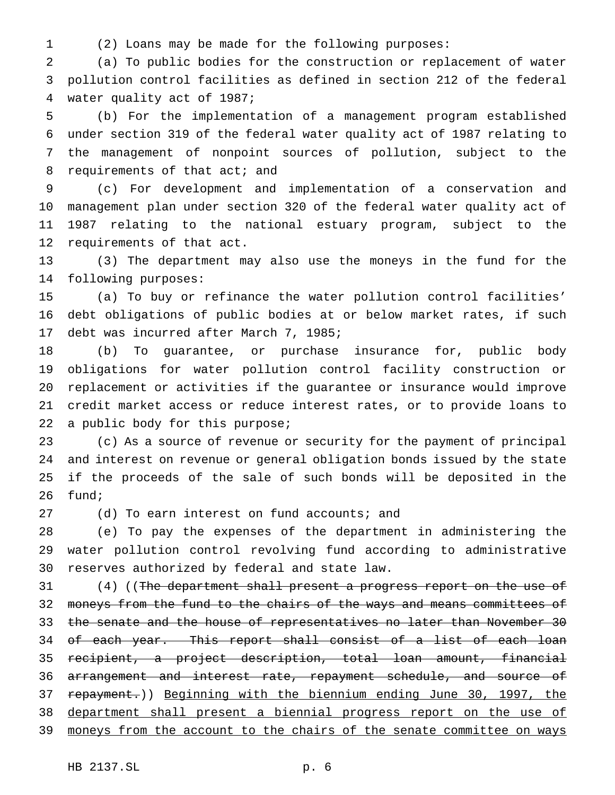- 
- (2) Loans may be made for the following purposes:

 (a) To public bodies for the construction or replacement of water pollution control facilities as defined in section 212 of the federal water quality act of 1987;

 (b) For the implementation of a management program established under section 319 of the federal water quality act of 1987 relating to the management of nonpoint sources of pollution, subject to the 8 requirements of that act; and

 (c) For development and implementation of a conservation and management plan under section 320 of the federal water quality act of 1987 relating to the national estuary program, subject to the requirements of that act.

 (3) The department may also use the moneys in the fund for the following purposes:

 (a) To buy or refinance the water pollution control facilities' debt obligations of public bodies at or below market rates, if such debt was incurred after March 7, 1985;

 (b) To guarantee, or purchase insurance for, public body obligations for water pollution control facility construction or replacement or activities if the guarantee or insurance would improve credit market access or reduce interest rates, or to provide loans to a public body for this purpose;

 (c) As a source of revenue or security for the payment of principal and interest on revenue or general obligation bonds issued by the state if the proceeds of the sale of such bonds will be deposited in the fund;

27 (d) To earn interest on fund accounts; and

 (e) To pay the expenses of the department in administering the water pollution control revolving fund according to administrative reserves authorized by federal and state law.

31 (4) ((The department shall present a progress report on the use of 32 moneys from the fund to the chairs of the ways and means committees of 33 the senate and the house of representatives no later than November 30 34 of each year. This report shall consist of a list of each loan recipient, a project description, total loan amount, financial 36 arrangement and interest rate, repayment schedule, and source of 37 repayment.)) Beginning with the biennium ending June 30, 1997, the department shall present a biennial progress report on the use of 39 moneys from the account to the chairs of the senate committee on ways